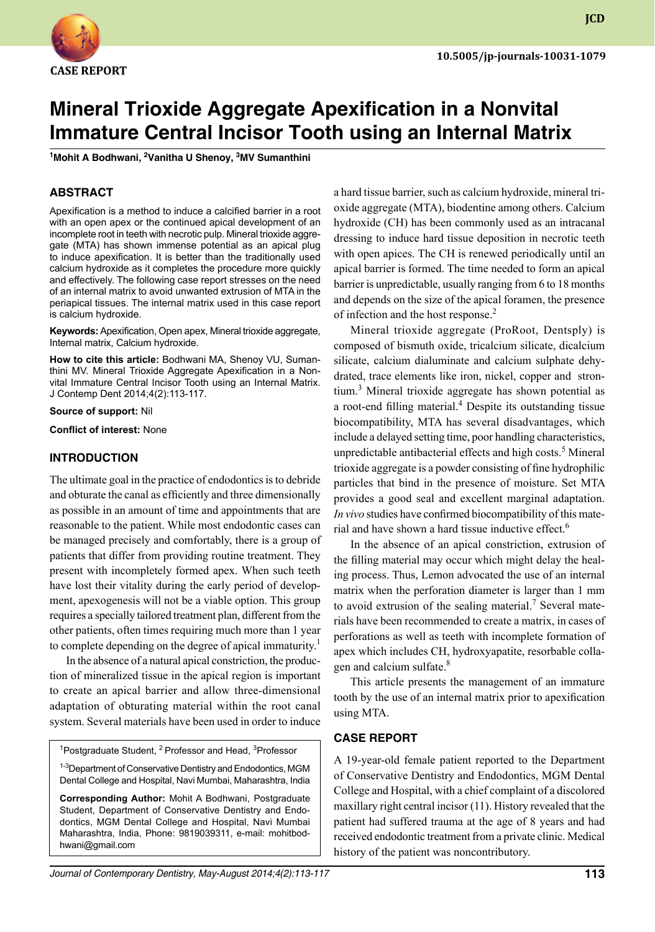

**JCD**

# **Mineral Trioxide Aggregate Apexification in a Nonvital Immature Central Incisor Tooth using an Internal Matrix**

**1 Mohit A Bodhwani, <sup>2</sup> Vanitha U Shenoy, <sup>3</sup> MV Sumanthini**

## **ABSTRACT**

Apexification is a method to induce a calcified barrier in a root with an open apex or the continued apical development of an incomplete root in teeth with necrotic pulp. Mineral trioxide aggregate (MTA) has shown immense potential as an apical plug to induce apexification. It is better than the traditionally used calcium hydroxide as it completes the procedure more quickly and effectively. The following case report stresses on the need of an internal matrix to avoid unwanted extrusion of MTA in the periapical tissues. The internal matrix used in this case report is calcium hydroxide.

**Keywords:** Apexification, Open apex, Mineral trioxide aggregate, Internal matrix, Calcium hydroxide.

**How to cite this article:** Bodhwani MA, Shenoy VU, Sumanthini MV. Mineral Trioxide Aggregate Apexification in a Nonvital Immature Central Incisor Tooth using an Internal Matrix. J Contemp Dent 2014;4(2):113-117.

#### **Source of support:** Nil

**Conflict of interest:** None

#### **Introduction**

The ultimate goal in the practice of endodontics is to debride and obturate the canal as efficiently and three dimensionally as possible in an amount of time and appointments that are reasonable to the patient. While most endodontic cases can be managed precisely and comfortably, there is a group of patients that differ from providing routine treatment. They present with incompletely formed apex. When such teeth have lost their vitality during the early period of development, apexogenesis will not be a viable option. This group requires a specially tailored treatment plan, different from the other patients, often times requiring much more than 1 year to complete depending on the degree of apical immaturity.<sup>1</sup>

In the absence of a natural apical constriction, the production of mineralized tissue in the apical region is important to create an apical barrier and allow three-dimensional adaptation of obturating material within the root canal system. Several materials have been used in order to induce

<sup>1</sup>Postgraduate Student, <sup>2</sup> Professor and Head, <sup>3</sup>Professor

<sup>1-3</sup>Department of Conservative Dentistry and Endodontics, MGM Dental College and Hospital, Navi Mumbai, Maharashtra, India

**Corresponding Author:** Mohit A Bodhwani, Postgraduate Student, Department of Conservative Dentistry and Endodontics, MGM Dental College and Hospital, Navi Mumbai Maharashtra, India, Phone: 9819039311, e-mail: mohitbodhwani@gmail.com

a hard tissue barrier, such as calcium hydroxide, mineral trioxide aggregate (MTA), biodentine among others. Calcium hydroxide (CH) has been commonly used as an intracanal dressing to induce hard tissue deposition in necrotic teeth with open apices. The CH is renewed periodically until an apical barrier is formed. The time needed to form an apical barrier is unpredictable, usually ranging from 6 to 18 months and depends on the size of the apical foramen, the presence of infection and the host response.<sup>2</sup>

Mineral trioxide aggregate (ProRoot, Dentsply) is composed of bismuth oxide, tricalcium silicate, dicalcium silicate, calcium dialuminate and calcium sulphate dehydrated, trace elements like iron, nickel, copper and strontium.<sup>3</sup> Mineral trioxide aggregate has shown potential as a root-end filling material.<sup>4</sup> Despite its outstanding tissue biocompatibility, MTA has several disadvantages, which include a delayed setting time, poor handling characteristics, unpredictable antibacterial effects and high costs.<sup>5</sup> Mineral trioxide aggregate is a powder consisting of fine hydrophilic particles that bind in the presence of moisture. Set MTA provides a good seal and excellent marginal adaptation. *In vivo* studies have confirmed biocompatibility of this material and have shown a hard tissue inductive effect.<sup>6</sup>

In the absence of an apical constriction, extrusion of the filling material may occur which might delay the healing process. Thus, Lemon advocated the use of an internal matrix when the perforation diameter is larger than 1 mm to avoid extrusion of the sealing material.<sup>7</sup> Several materials have been recommended to create a matrix, in cases of perforations as well as teeth with incomplete formation of apex which includes CH, hydroxyapatite, resorbable collagen and calcium sulfate.<sup>8</sup>

This article presents the management of an immature tooth by the use of an internal matrix prior to apexification using MTA.

#### **CASE REPORT**

A 19-year-old female patient reported to the Department of Conservative Dentistry and Endodontics, MGM Dental College and Hospital, with a chief complaint of a discolored maxillary right central incisor (11). History revealed that the patient had suffered trauma at the age of 8 years and had received endodontic treatment from a private clinic. Medical history of the patient was noncontributory.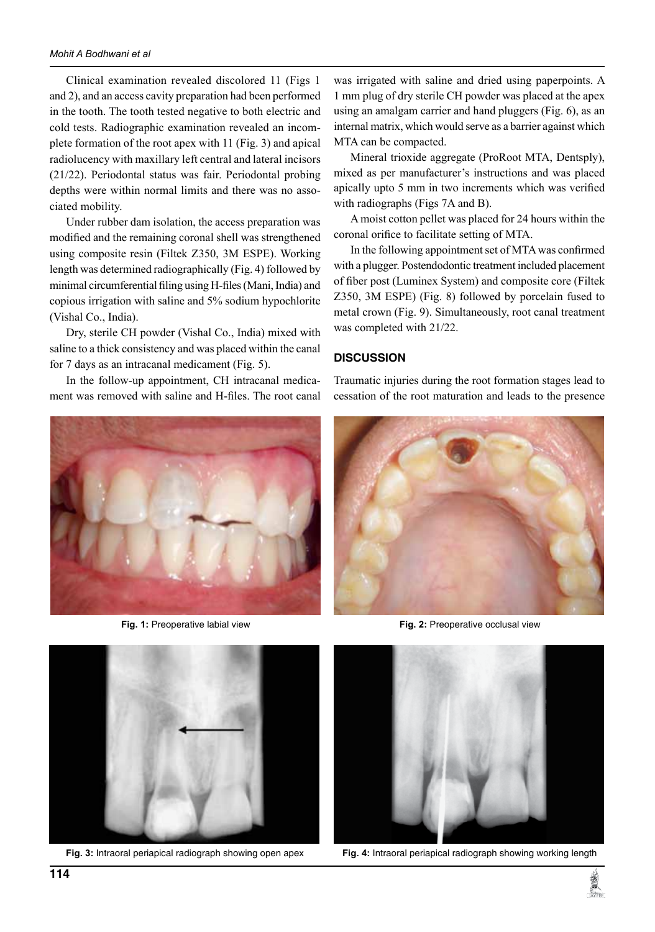Clinical examination revealed discolored 11 (Figs 1 and 2), and an access cavity preparation had been performed in the tooth. The tooth tested negative to both electric and cold tests. Radiographic examination revealed an incomplete formation of the root apex with 11 (Fig. 3) and apical radiolucency with maxillary left central and lateral incisors (21/22). Periodontal status was fair. Periodontal probing depths were within normal limits and there was no associated mobility.

Under rubber dam isolation, the access preparation was modified and the remaining coronal shell was strengthened using composite resin (Filtek Z350, 3M ESPE). Working length was determined radiographically (Fig. 4) followed by minimal circumferential filing using H-files (Mani, India) and copious irrigation with saline and 5% sodium hypochlorite (Vishal Co., India).

Dry, sterile CH powder (Vishal Co., India) mixed with saline to a thick consistency and was placed within the canal for 7 days as an intracanal medicament (fig. 5).

In the follow-up appointment, CH intracanal medicament was removed with saline and H-files. The root canal





was irrigated with saline and dried using paperpoints. A 1 mm plug of dry sterile CH powder was placed at the apex using an amalgam carrier and hand pluggers (fig. 6), as an internal matrix, which would serve as a barrier against which MTA can be compacted.

Mineral trioxide aggregate (ProRoot MTA, Dentsply), mixed as per manufacturer's instructions and was placed apically upto 5 mm in two increments which was verified with radiographs (Figs 7A and B).

A moist cotton pellet was placed for 24 hours within the coronal orifice to facilitate setting of MTA.

In the following appointment set of MTA was confirmed with a plugger. Postendodontic treatment included placement of fiber post (Luminex System) and composite core (Filtek Z350, 3M ESPE) (Fig. 8) followed by porcelain fused to metal crown (Fig. 9). Simultaneously, root canal treatment was completed with 21/22.

### **DISCUSSION**

Traumatic injuries during the root formation stages lead to cessation of the root maturation and leads to the presence



**Fig. 1:** Preoperative labial view **Fig. 2:** Preoperative occlusal view



**Fig. 3:** Intraoral periapical radiograph showing open apex **Fig. 4:** Intraoral periapical radiograph showing working length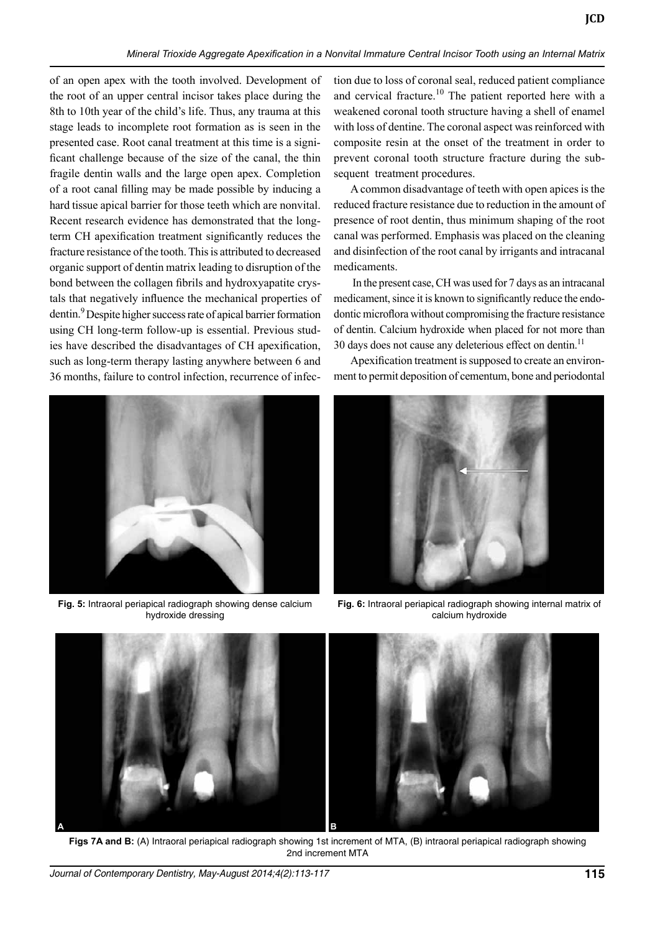of an open apex with the tooth involved. Development of the root of an upper central incisor takes place during the 8th to 10th year of the child's life. Thus, any trauma at this stage leads to incomplete root formation as is seen in the presented case. Root canal treatment at this time is a significant challenge because of the size of the canal, the thin fragile dentin walls and the large open apex. Completion of a root canal filling may be made possible by inducing a hard tissue apical barrier for those teeth which are nonvital. Recent research evidence has demonstrated that the longterm CH apexification treatment significantly reduces the fracture resistance of the tooth. This is attributed to decreased organic support of dentin matrix leading to disruption of the bond between the collagen fibrils and hydroxyapatite crystals that negatively influence the mechanical properties of dentin.<sup>9</sup> Despite higher success rate of apical barrier formation using CH long-term follow-up is essential. Previous studies have described the disadvantages of CH apexification, such as long-term therapy lasting anywhere between 6 and 36 months, failure to control infection, recurrence of infec-



**Fig. 5:** Intraoral periapical radiograph showing dense calcium hydroxide dressing

tion due to loss of coronal seal, reduced patient compliance and cervical fracture.<sup>10</sup> The patient reported here with a weakened coronal tooth structure having a shell of enamel with loss of dentine. The coronal aspect was reinforced with composite resin at the onset of the treatment in order to prevent coronal tooth structure fracture during the subsequent treatment procedures.

**JCD**

A common disadvantage of teeth with open apices is the reduced fracture resistance due to reduction in the amount of presence of root dentin, thus minimum shaping of the root canal was performed. Emphasis was placed on the cleaning and disinfection of the root canal by irrigants and intracanal medicaments.

In the present case, CH was used for 7 days as an intracanal medicament, since it is known to significantly reduce the endodontic microflora without compromising the fracture resistance of dentin. Calcium hydroxide when placed for not more than 30 days does not cause any deleterious effect on dentin.<sup>11</sup>

Apexification treatment is supposed to create an environment to permit deposition of cementum, bone and periodontal



**Fig. 6:** Intraoral periapical radiograph showing internal matrix of calcium hydroxide



**Figs 7A and B:** (A) Intraoral periapical radiograph showing 1st increment of MTA, (B) intraoral periapical radiograph showing 2nd increment MTA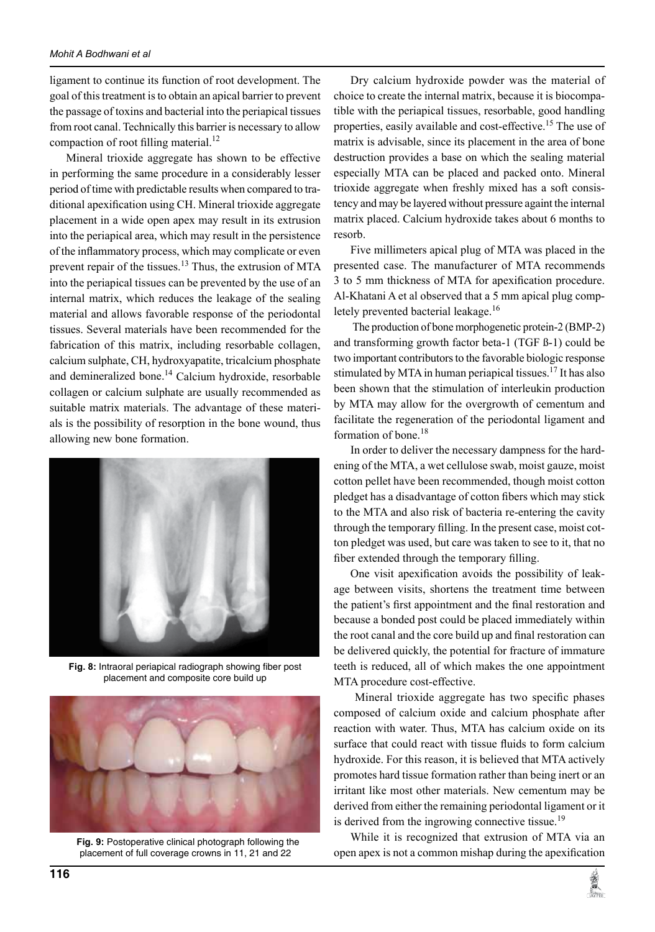ligament to continue its function of root development. The goal of this treatment is to obtain an apical barrier to prevent the passage of toxins and bacterial into the periapical tissues from root canal. Technically this barrier is necessary to allow compaction of root filling material.<sup>12</sup>

Mineral trioxide aggregate has shown to be effective in performing the same procedure in a considerably lesser period of time with predictable results when compared to traditional apexification using CH. Mineral trioxide aggregate placement in a wide open apex may result in its extrusion into the periapical area, which may result in the persistence of the inflammatory process, which may complicate or even prevent repair of the tissues.<sup>13</sup> Thus, the extrusion of MTA into the periapical tissues can be prevented by the use of an internal matrix, which reduces the leakage of the sealing material and allows favorable response of the periodontal tissues. Several materials have been recommended for the fabrication of this matrix, including resorbable collagen, calcium sulphate, CH, hydroxyapatite, tricalcium phosphate and demineralized bone.<sup>14</sup> Calcium hydroxide, resorbable collagen or calcium sulphate are usually recommended as suitable matrix materials. The advantage of these materials is the possibility of resorption in the bone wound, thus allowing new bone formation.



**Fig. 8:** Intraoral periapical radiograph showing fiber post placement and composite core build up



 **Fig. 9:** Postoperative clinical photograph following the placement of full coverage crowns in 11, 21 and 22

Dry calcium hydroxide powder was the material of choice to create the internal matrix, because it is biocompatible with the periapical tissues, resorbable, good handling properties, easily available and cost-effective.<sup>15</sup> The use of matrix is advisable, since its placement in the area of bone destruction provides a base on which the sealing material especially MTA can be placed and packed onto. Mineral trioxide aggregate when freshly mixed has a soft consistency and may be layered without pressure againt the internal matrix placed. Calcium hydroxide takes about 6 months to resorb.

Five millimeters apical plug of MTA was placed in the presented case. The manufacturer of MTA recommends 3 to 5 mm thickness of MTA for apexification procedure. Al-Khatani A et al observed that a 5 mm apical plug completely prevented bacterial leakage.<sup>16</sup>

The production of bone morphogenetic protein-2 (BMP-2) and transforming growth factor beta-1 (TGF ß-1) could be two important contributors to the favorable biologic response stimulated by MTA in human periapical tissues.<sup>17</sup> It has also been shown that the stimulation of interleukin production by MTA may allow for the overgrowth of cementum and facilitate the regeneration of the periodontal ligament and formation of bone.<sup>18</sup>

In order to deliver the necessary dampness for the hardening of the MTA, a wet cellulose swab, moist gauze, moist cotton pellet have been recommended, though moist cotton pledget has a disadvantage of cotton fibers which may stick to the MTA and also risk of bacteria re-entering the cavity through the temporary filling. In the present case, moist cotton pledget was used, but care was taken to see to it, that no fiber extended through the temporary filling.

One visit apexification avoids the possibility of leakage between visits, shortens the treatment time between the patient's first appointment and the final restoration and because a bonded post could be placed immediately within the root canal and the core build up and final restoration can be delivered quickly, the potential for fracture of immature teeth is reduced, all of which makes the one appointment MTA procedure cost-effective.

Mineral trioxide aggregate has two specific phases composed of calcium oxide and calcium phosphate after reaction with water. Thus, MTA has calcium oxide on its surface that could react with tissue fluids to form calcium hydroxide. For this reason, it is believed that MTA actively promotes hard tissue formation rather than being inert or an irritant like most other materials. New cementum may be derived from either the remaining periodontal ligament or it is derived from the ingrowing connective tissue.<sup>19</sup>

While it is recognized that extrusion of MTA via an open apex is not a common mishap during the apexification

**REAL PROPERTY**